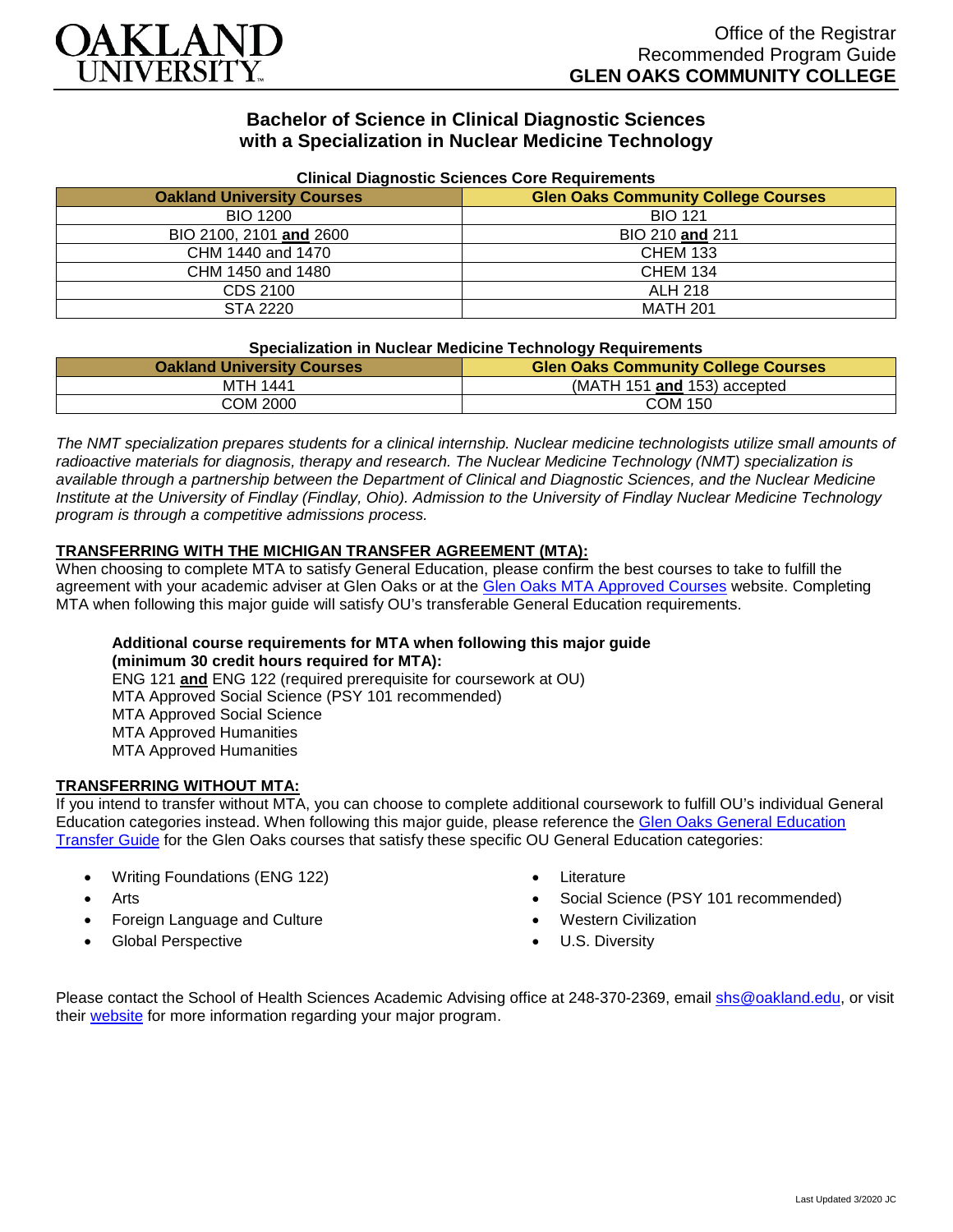

# **Bachelor of Science in Clinical Diagnostic Sciences with a Specialization in Nuclear Medicine Technology**

| Clinical Diagnostic Sciences Core Requirements |                                            |
|------------------------------------------------|--------------------------------------------|
| <b>Oakland University Courses</b>              | <b>Glen Oaks Community College Courses</b> |
| <b>BIO 1200</b>                                | <b>BIO 121</b>                             |
| BIO 2100, 2101 and 2600                        | BIO 210 and 211                            |
| CHM 1440 and 1470                              | <b>CHEM 133</b>                            |
| CHM 1450 and 1480                              | <b>CHEM 134</b>                            |
| CDS 2100                                       | <b>ALH 218</b>                             |
| STA 2220                                       | <b>MATH 201</b>                            |

#### **Clinical Diagnostic Sciences Core Requirements**

#### **Specialization in Nuclear Medicine Technology Requirements**

| <b>Oakland University Courses</b> | <b>Glen Oaks Community College Courses</b> |
|-----------------------------------|--------------------------------------------|
| MTH 1441                          | (MATH 151 and 153) accepted                |
| COM 2000                          | COM 150                                    |

*The NMT specialization prepares students for a clinical internship. Nuclear medicine technologists utilize small amounts of radioactive materials for diagnosis, therapy and research. The Nuclear Medicine Technology (NMT) specialization is available through a partnership between the Department of Clinical and Diagnostic Sciences, and the Nuclear Medicine Institute at the University of Findlay (Findlay, Ohio). Admission to the University of Findlay Nuclear Medicine Technology program is through a competitive admissions process.*

## **TRANSFERRING WITH THE MICHIGAN TRANSFER AGREEMENT (MTA):**

When choosing to complete MTA to satisfy General Education, please confirm the best courses to take to fulfill the agreement with your academic adviser at Glen Oaks or at the [Glen Oaks MTA Approved Courses](https://www.glenoaks.edu/current-students/registration-records/#MTA) website. Completing MTA when following this major guide will satisfy OU's transferable General Education requirements.

## **Additional course requirements for MTA when following this major guide (minimum 30 credit hours required for MTA):**

ENG 121 **and** ENG 122 (required prerequisite for coursework at OU) MTA Approved Social Science (PSY 101 recommended) MTA Approved Social Science MTA Approved Humanities MTA Approved Humanities

# **TRANSFERRING WITHOUT MTA:**

If you intend to transfer without MTA, you can choose to complete additional coursework to fulfill OU's individual General Education categories instead. When following this major guide, please reference the Glen Oaks General Education [Transfer Guide](https://www.oakland.edu/Assets/Oakland/program-guides/glen-oaks-community-college/university-general-education-requirements/Glen%20Oaks%20Gen%20Ed.pdf) for the Glen Oaks courses that satisfy these specific OU General Education categories:

- Writing Foundations (ENG 122)
- **Arts**
- Foreign Language and Culture
- Global Perspective
- **Literature**
- Social Science (PSY 101 recommended)
- Western Civilization
- U.S. Diversity

Please contact the School of Health Sciences Academic Advising office at 248-370-2369, email [shs@oakland.edu,](mailto:shs@oakland.edu) or visit their [website](http://www.oakland.edu/shs/advising) for more information regarding your major program.